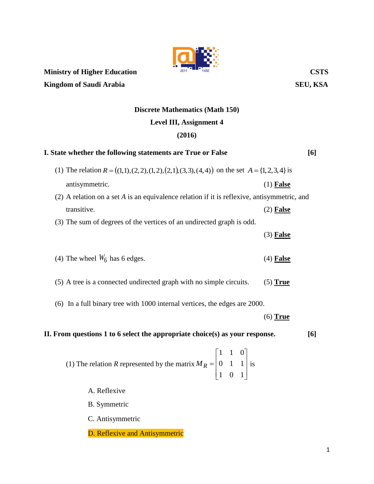

**Kingdom of Saudi Arabia** SEU, KSA

## **Discrete Mathematics (Math 150) Level III, Assignment 4**

## **(2016)**

| I. State whether the following statements are True or False                                                                      |             |  |  |  |  |
|----------------------------------------------------------------------------------------------------------------------------------|-------------|--|--|--|--|
| (1) The relation $R = ((1,1),(2,2),(1,2),(2,1),(3,3),(4,4))$ on the set $A = \{1,2,3,4\}$ is                                     |             |  |  |  |  |
| antisymmetric.                                                                                                                   | $(1)$ False |  |  |  |  |
| $(2)$ A relation on a set A is an equivalence relation if it is reflexive, antisymmetric, and                                    |             |  |  |  |  |
| transitive.                                                                                                                      | $(2)$ False |  |  |  |  |
| (3) The sum of degrees of the vertices of an undirected graph is odd.                                                            |             |  |  |  |  |
|                                                                                                                                  | $(3)$ False |  |  |  |  |
| (4) The wheel $W_6$ has 6 edges.                                                                                                 | $(4)$ False |  |  |  |  |
|                                                                                                                                  |             |  |  |  |  |
| (5) A tree is a connected undirected graph with no simple circuits.                                                              | $(5)$ True  |  |  |  |  |
| (6) In a full binary tree with 1000 internal vertices, the edges are 2000.                                                       |             |  |  |  |  |
|                                                                                                                                  | $(6)$ True  |  |  |  |  |
| II. From questions 1 to 6 select the appropriate choice(s) as your response.<br>[6]                                              |             |  |  |  |  |
| (1) The relation <i>R</i> represented by the matrix $M_R = \begin{bmatrix} 1 & 1 & 0 \\ 0 & 1 & 1 \\ 1 & 0 & 1 \end{bmatrix}$ is |             |  |  |  |  |
| A. Reflexive                                                                                                                     |             |  |  |  |  |
| <b>B.</b> Symmetric                                                                                                              |             |  |  |  |  |
| C. Antisymmetric                                                                                                                 |             |  |  |  |  |
| D. Reflexive and Antisymmetric                                                                                                   |             |  |  |  |  |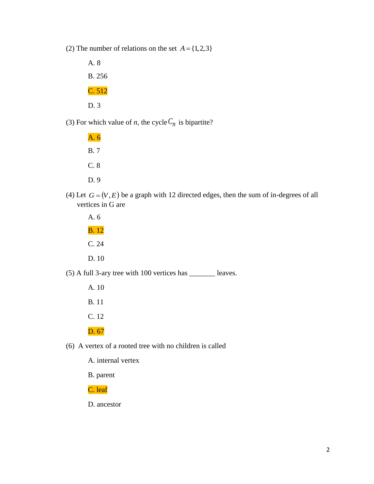(2) The number of relations on the set  $A = \{1,2,3\}$ 

A. 8 B. 256 C. 512 D. 3

(3) For which value of *n*, the cycle  $C_n$  is bipartite?

A. 6 B. 7 C. 8 D. 9

(4) Let  $G = (V, E)$  be a graph with 12 directed edges, then the sum of in-degrees of all vertices in G are

A. 6 B. 12 C. 24 D. 10

(5) A full 3-ary tree with 100 vertices has \_\_\_\_\_\_\_ leaves.

- A. 10 B. 11
- C. 12

D. 67

(6) A vertex of a rooted tree with no children is called

A. internal vertex

B. parent

C. leaf

D. ancestor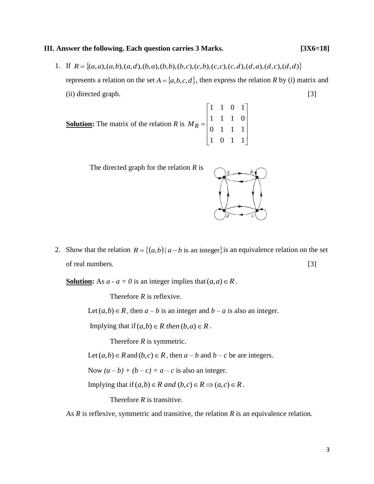## **III. Answer the following. Each question carries 3 Marks. [3X6=18]**

1. If  $R = \{(a,a),(a,b),(a,d),(b,a),(b,b),(b,c),(c,b),(c,c),(c,d),(d,a),(d,c),(d,d)\}\$ represents a relation on the set  $A = \{a,b,c,d\}$ , then express the relation R by (i) matrix and (ii) directed graph. [3]

**Solution:** The matrix of the relation *R* is  $\overline{\phantom{a}}$  $\overline{\phantom{a}}$  $\overline{\phantom{a}}$  $\overline{\phantom{a}}$ J  $\overline{\phantom{a}}$  $\mathbf{r}$  $\overline{\phantom{a}}$  $\overline{a}$  $\overline{\phantom{a}}$ L  $\overline{a}$  $=$ 1 0 1 1 0 1 1 1 1 1 1 0 1 1 0 1 *M<sup>R</sup>*



2. Show that the relation  $R = \{(a,b) | a-b \text{ is an integer}\}$  is an equivalence relation on the set of real numbers. [3]

**Solution:** As  $a - a = 0$  is an integer implies that  $(a, a) \in R$ .

Therefore *R* is reflexive.

Let  $(a,b) \in R$ , then  $a - b$  is an integer and  $b - a$  is also an integer.

Implying that if  $(a,b) \in R$  *then*  $(b,a) \in R$ .

Therefore *R* is symmetric.

Let  $(a,b) \in R$  and  $(b,c) \in R$ , then  $a-b$  and  $b-c$  be are integers.

Now  $(a - b) + (b - c) = a - c$  is also an integer.

Implying that if  $(a,b) \in R$  *and*  $(b,c) \in R \implies (a,c) \in R$ .

Therefore *R* is transitive.

As *R* is reflexive, symmetric and transitive, the relation *R* is an equivalence relation.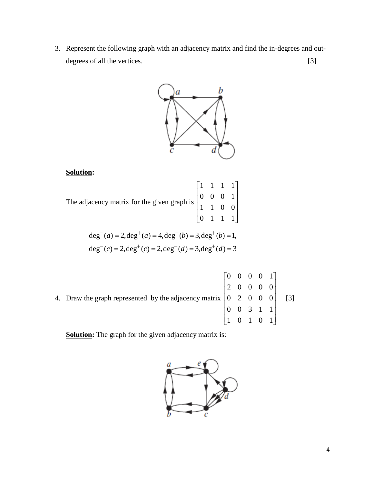3. Represent the following graph with an adjacency matrix and find the in-degrees and outdegrees of all the vertices. [3]



## **Solution:**

| The adjacency matrix for the given graph is $\begin{bmatrix} 1 & 1 & 1 & 1 \\ 0 & 0 & 0 & 1 \\ 1 & 1 & 0 & 0 \\ 0 & 1 & 1 & 1 \end{bmatrix}$ |  |  |
|----------------------------------------------------------------------------------------------------------------------------------------------|--|--|
|                                                                                                                                              |  |  |
|                                                                                                                                              |  |  |

$$
deg-(a) = 2, deg+(a) = 4, deg-(b) = 3, deg+(b) = 1,\ndeg-(c) = 2, deg+(c) = 2, deg-(d) = 3, deg+(d) = 3
$$

4. Draw the graph represented by the adjacency matrix  $\overline{\phantom{a}}$  $\overline{\phantom{a}}$  $\overline{\phantom{a}}$  $\overline{\phantom{a}}$  $\overline{\phantom{a}}$  $\begin{vmatrix} 2 & 0 & 0 & 0 & 0 \end{vmatrix}$  $\begin{bmatrix} 1 & 0 & 1 & 0 & 1 \end{bmatrix}$  $\begin{bmatrix} 0 & 0 & 0 & 0 & 1 \end{bmatrix}$  $\mathsf{L}$  $\overline{a}$  $\overline{a}$  $\overline{\phantom{a}}$  $\begin{bmatrix} 1 & 0 & 1 & 0 & 1 \end{bmatrix}$ 0 0 3 1 1  $0 \t2 \t0 \t0 \t0 \t[3]$ 

**Solution:** The graph for the given adjacency matrix is:

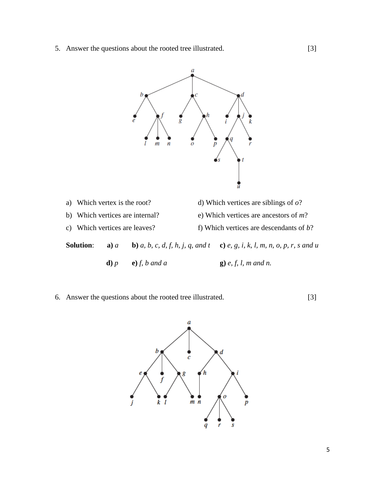5. Answer the questions about the rooted tree illustrated. [3]



|                  | a) Which vertex is the root?    |                  |  | d) Which vertices are siblings of $o$ ?                                                   |  |  |
|------------------|---------------------------------|------------------|--|-------------------------------------------------------------------------------------------|--|--|
|                  | b) Which vertices are internal? |                  |  | e) Which vertices are ancestors of $m$ ?                                                  |  |  |
|                  | c) Which vertices are leaves?   |                  |  | f) Which vertices are descendants of $b$ ?                                                |  |  |
| <b>Solution:</b> | $\mathbf{a}$ ) $a$              |                  |  | <b>b</b> ) a, b, c, d, f, h, j, q, and t <b>c</b> ) e, g, i, k, l, m, n, o, p, r, s and u |  |  |
|                  | $d$ ) $p$                       | $e$ ) f, b and a |  | $\bf{g}$ ) e, f, l, m and n.                                                              |  |  |

6. Answer the questions about the rooted tree illustrated. [3]